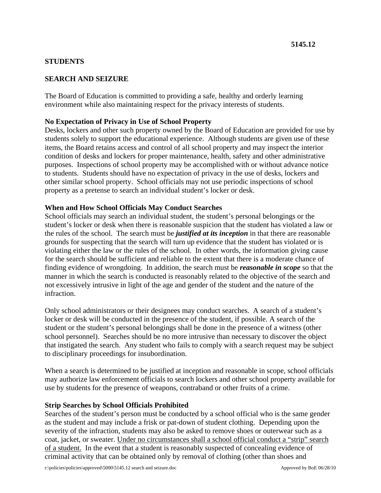## **STUDENTS**

# **SEARCH AND SEIZURE**

The Board of Education is committed to providing a safe, healthy and orderly learning environment while also maintaining respect for the privacy interests of students.

### **No Expectation of Privacy in Use of School Property**

Desks, lockers and other such property owned by the Board of Education are provided for use by students solely to support the educational experience. Although students are given use of these items, the Board retains access and control of all school property and may inspect the interior condition of desks and lockers for proper maintenance, health, safety and other administrative purposes. Inspections of school property may be accomplished with or without advance notice to students. Students should have no expectation of privacy in the use of desks, lockers and other similar school property. School officials may not use periodic inspections of school property as a pretense to search an individual student's locker or desk.

#### **When and How School Officials May Conduct Searches**

School officials may search an individual student, the student's personal belongings or the student's locker or desk when there is reasonable suspicion that the student has violated a law or the rules of the school. The search must be *justified at its inception* in that there are reasonable grounds for suspecting that the search will turn up evidence that the student has violated or is violating either the law or the rules of the school. In other words, the information giving cause for the search should be sufficient and reliable to the extent that there is a moderate chance of finding evidence of wrongdoing. In addition, the search must be *reasonable in scope* so that the manner in which the search is conducted is reasonably related to the objective of the search and not excessively intrusive in light of the age and gender of the student and the nature of the infraction.

Only school administrators or their designees may conduct searches. A search of a student's locker or desk will be conducted in the presence of the student, if possible. A search of the student or the student's personal belongings shall be done in the presence of a witness (other school personnel). Searches should be no more intrusive than necessary to discover the object that instigated the search. Any student who fails to comply with a search request may be subject to disciplinary proceedings for insubordination.

When a search is determined to be justified at inception and reasonable in scope, school officials may authorize law enforcement officials to search lockers and other school property available for use by students for the presence of weapons, contraband or other fruits of a crime.

#### **Strip Searches by School Officials Prohibited**

Searches of the student's person must be conducted by a school official who is the same gender as the student and may include a frisk or pat-down of student clothing. Depending upon the severity of the infraction, students may also be asked to remove shoes or outerwear such as a coat, jacket, or sweater. Under no circumstances shall a school official conduct a "strip" search of a student. In the event that a student is reasonably suspected of concealing evidence of criminal activity that can be obtained only by removal of clothing (other than shoes and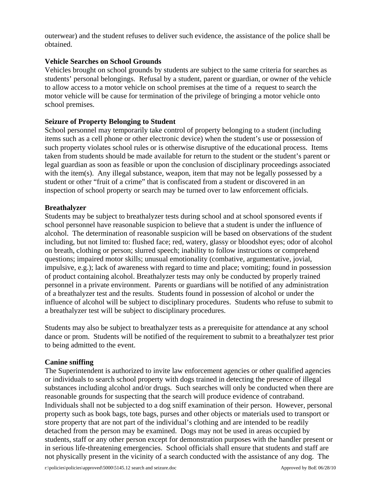outerwear) and the student refuses to deliver such evidence, the assistance of the police shall be obtained.

## **Vehicle Searches on School Grounds**

Vehicles brought on school grounds by students are subject to the same criteria for searches as students' personal belongings. Refusal by a student, parent or guardian, or owner of the vehicle to allow access to a motor vehicle on school premises at the time of a request to search the motor vehicle will be cause for termination of the privilege of bringing a motor vehicle onto school premises.

## **Seizure of Property Belonging to Student**

School personnel may temporarily take control of property belonging to a student (including items such as a cell phone or other electronic device) when the student's use or possession of such property violates school rules or is otherwise disruptive of the educational process. Items taken from students should be made available for return to the student or the student's parent or legal guardian as soon as feasible or upon the conclusion of disciplinary proceedings associated with the item(s). Any illegal substance, weapon, item that may not be legally possessed by a student or other "fruit of a crime" that is confiscated from a student or discovered in an inspection of school property or search may be turned over to law enforcement officials.

#### **Breathalyzer**

Students may be subject to breathalyzer tests during school and at school sponsored events if school personnel have reasonable suspicion to believe that a student is under the influence of alcohol. The determination of reasonable suspicion will be based on observations of the student including, but not limited to: flushed face; red, watery, glassy or bloodshot eyes; odor of alcohol on breath, clothing or person; slurred speech; inability to follow instructions or comprehend questions; impaired motor skills; unusual emotionality (combative, argumentative, jovial, impulsive, e.g.); lack of awareness with regard to time and place; vomiting; found in possession of product containing alcohol. Breathalyzer tests may only be conducted by properly trained personnel in a private environment. Parents or guardians will be notified of any administration of a breathalyzer test and the results. Students found in possession of alcohol or under the influence of alcohol will be subject to disciplinary procedures. Students who refuse to submit to a breathalyzer test will be subject to disciplinary procedures.

Students may also be subject to breathalyzer tests as a prerequisite for attendance at any school dance or prom. Students will be notified of the requirement to submit to a breathalyzer test prior to being admitted to the event.

## **Canine sniffing**

The Superintendent is authorized to invite law enforcement agencies or other qualified agencies or individuals to search school property with dogs trained in detecting the presence of illegal substances including alcohol and/or drugs. Such searches will only be conducted when there are reasonable grounds for suspecting that the search will produce evidence of contraband. Individuals shall not be subjected to a dog sniff examination of their person. However, personal property such as book bags, tote bags, purses and other objects or materials used to transport or store property that are not part of the individual's clothing and are intended to be readily detached from the person may be examined. Dogs may not be used in areas occupied by students, staff or any other person except for demonstration purposes with the handler present or in serious life-threatening emergencies. School officials shall ensure that students and staff are not physically present in the vicinity of a search conducted with the assistance of any dog. The